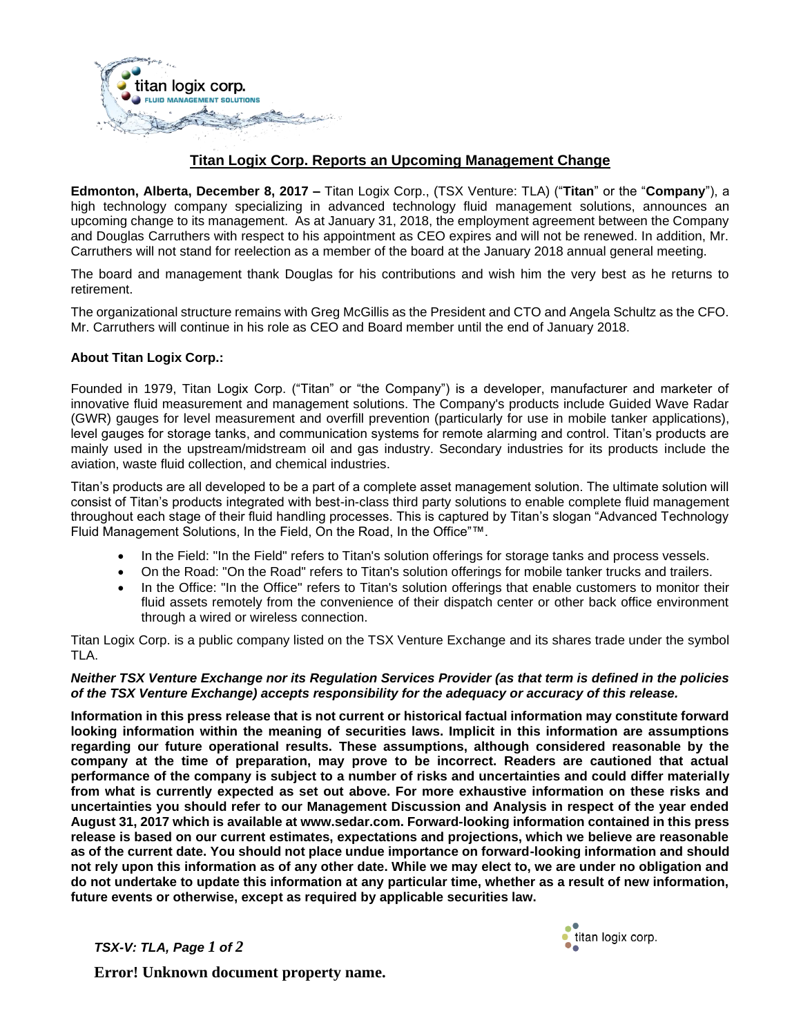

## **Titan Logix Corp. Reports an Upcoming Management Change**

**Edmonton, Alberta, December 8, 2017 –** Titan Logix Corp., (TSX Venture: TLA) ("**Titan**" or the "**Company**"), a high technology company specializing in advanced technology fluid management solutions, announces an upcoming change to its management. As at January 31, 2018, the employment agreement between the Company and Douglas Carruthers with respect to his appointment as CEO expires and will not be renewed. In addition, Mr. Carruthers will not stand for reelection as a member of the board at the January 2018 annual general meeting.

The board and management thank Douglas for his contributions and wish him the very best as he returns to retirement.

The organizational structure remains with Greg McGillis as the President and CTO and Angela Schultz as the CFO. Mr. Carruthers will continue in his role as CEO and Board member until the end of January 2018.

## **About Titan Logix Corp.:**

Founded in 1979, Titan Logix Corp. ("Titan" or "the Company") is a developer, manufacturer and marketer of innovative fluid measurement and management solutions. The Company's products include Guided Wave Radar (GWR) gauges for level measurement and overfill prevention (particularly for use in mobile tanker applications), level gauges for storage tanks, and communication systems for remote alarming and control. Titan's products are mainly used in the upstream/midstream oil and gas industry. Secondary industries for its products include the aviation, waste fluid collection, and chemical industries.

Titan's products are all developed to be a part of a complete asset management solution. The ultimate solution will consist of Titan's products integrated with best-in-class third party solutions to enable complete fluid management throughout each stage of their fluid handling processes. This is captured by Titan's slogan "Advanced Technology Fluid Management Solutions, In the Field, On the Road, In the Office"™.

- In the Field: "In the Field" refers to Titan's solution offerings for storage tanks and process vessels.
- On the Road: "On the Road" refers to Titan's solution offerings for mobile tanker trucks and trailers.
- In the Office: "In the Office" refers to Titan's solution offerings that enable customers to monitor their fluid assets remotely from the convenience of their dispatch center or other back office environment through a wired or wireless connection.

Titan Logix Corp. is a public company listed on the TSX Venture Exchange and its shares trade under the symbol TLA.

## *Neither TSX Venture Exchange nor its Regulation Services Provider (as that term is defined in the policies of the TSX Venture Exchange) accepts responsibility for the adequacy or accuracy of this release.*

**Information in this press release that is not current or historical factual information may constitute forward looking information within the meaning of securities laws. Implicit in this information are assumptions regarding our future operational results. These assumptions, although considered reasonable by the company at the time of preparation, may prove to be incorrect. Readers are cautioned that actual performance of the company is subject to a number of risks and uncertainties and could differ materially from what is currently expected as set out above. For more exhaustive information on these risks and uncertainties you should refer to our Management Discussion and Analysis in respect of the year ended August 31, 2017 which is available at www.sedar.com. Forward-looking information contained in this press release is based on our current estimates, expectations and projections, which we believe are reasonable as of the current date. You should not place undue importance on forward-looking information and should not rely upon this information as of any other date. While we may elect to, we are under no obligation and do not undertake to update this information at any particular time, whether as a result of new information, future events or otherwise, except as required by applicable securities law.**

*TSX-V: TLA, Page 1 of 2* 



**Error! Unknown document property name.**